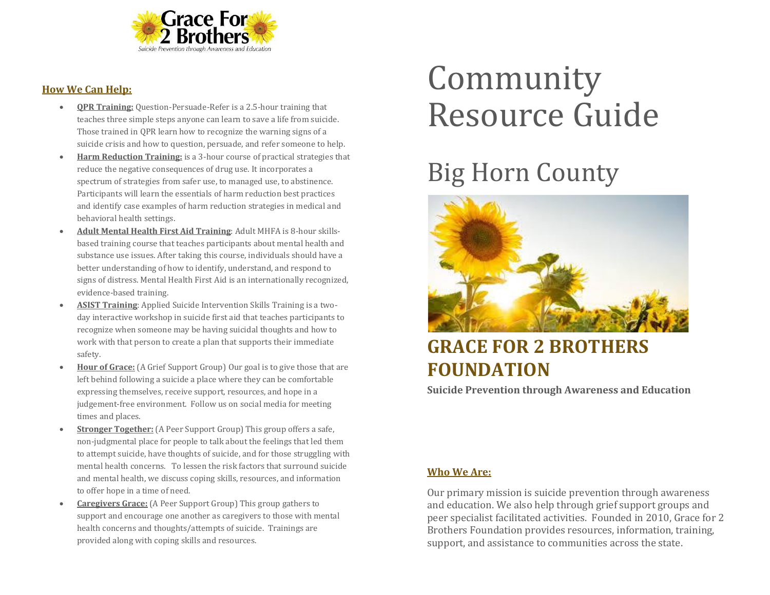

# **How We Can Help:**

- **QPR Training:** Question-Persuade-Refer is a 2.5-hour training that teaches three simple steps anyone can learn to save a life from suicide. Those trained in QPR learn how to recognize the warning signs of a suicide crisis and how to question, persuade, and refer someone to help.
- **Harm Reduction Training:** is a 3-hour course of practical strategies that reduce the negative consequences of drug use. It incorporates a spectrum of strategies from safer use, to managed use, to abstinence. Participants will learn the essentials of harm reduction best practices and identify case examples of harm reduction strategies in medical and behavioral health settings.
- **Adult Mental Health First Aid Training**: Adult MHFA is 8-hour skillsbased training course that teaches participants about mental health and substance use issues. After taking this course, individuals should have a better understanding of how to identify, understand, and respond to signs of distress. Mental Health First Aid is an internationally recognized, evidence-based training.
- **ASIST Training**: Applied Suicide Intervention Skills Training is a twoday interactive workshop in suicide first aid that teaches participants to recognize when someone may be having suicidal thoughts and how to work with that person to create a plan that supports their immediate safety.
- **Hour of Grace:** (A Grief Support Group) Our goal is to give those that are left behind following a suicide a place where they can be comfortable expressing themselves, receive support, resources, and hope in a judgement-free environment. Follow us on social media for meeting times and places.
- **Stronger Together:** (A Peer Support Group) This group offers a safe, non-judgmental place for people to talk about the feelings that led them to attempt suicide, have thoughts of suicide, and for those struggling with mental health concerns. To lessen the risk factors that surround suicide and mental health, we discuss coping skills, resources, and information to offer hope in a time of need.
- **Caregivers Grace:** (A Peer Support Group) This group gathers to support and encourage one another as caregivers to those with mental health concerns and thoughts/attempts of suicide. Trainings are provided along with coping skills and resources.

# Community Resource Guide

# Big Horn County



# **GRACE FOR 2 BROTHERS FOUNDATION**

**Suicide Prevention through Awareness and Education**

# **Who We Are:**

Our primary mission is suicide prevention through awareness and education. We also help through grief support groups and peer specialist facilitated activities. Founded in 2010, Grace for 2 Brothers Foundation provides resources, information, training, support, and assistance to communities across the state.